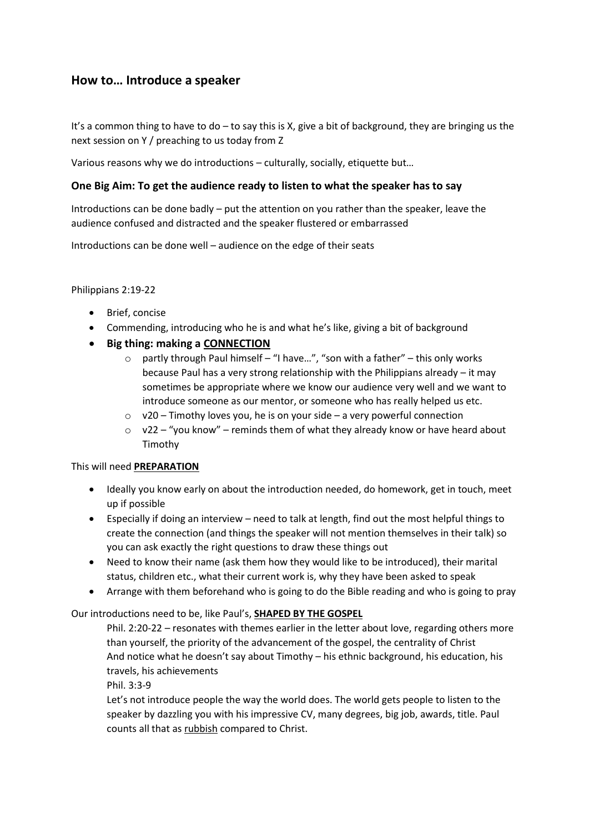## **How to… Introduce a speaker**

It's a common thing to have to do – to say this is X, give a bit of background, they are bringing us the next session on Y / preaching to us today from Z

Various reasons why we do introductions – culturally, socially, etiquette but…

## **One Big Aim: To get the audience ready to listen to what the speaker has to say**

Introductions can be done badly – put the attention on you rather than the speaker, leave the audience confused and distracted and the speaker flustered or embarrassed

Introductions can be done well – audience on the edge of their seats

Philippians 2:19-22

- Brief, concise
- Commending, introducing who he is and what he's like, giving a bit of background
- **Big thing: making a CONNECTION**
	- o partly through Paul himself "I have…", "son with a father" this only works because Paul has a very strong relationship with the Philippians already – it may sometimes be appropriate where we know our audience very well and we want to introduce someone as our mentor, or someone who has really helped us etc.
	- $\circ$  v20 Timothy loves you, he is on your side a very powerful connection
	- $\degree$  v22 "you know" reminds them of what they already know or have heard about Timothy

## This will need **PREPARATION**

- Ideally you know early on about the introduction needed, do homework, get in touch, meet up if possible
- Especially if doing an interview need to talk at length, find out the most helpful things to create the connection (and things the speaker will not mention themselves in their talk) so you can ask exactly the right questions to draw these things out
- Need to know their name (ask them how they would like to be introduced), their marital status, children etc., what their current work is, why they have been asked to speak
- Arrange with them beforehand who is going to do the Bible reading and who is going to pray

## Our introductions need to be, like Paul's, **SHAPED BY THE GOSPEL**

Phil. 2:20-22 – resonates with themes earlier in the letter about love, regarding others more than yourself, the priority of the advancement of the gospel, the centrality of Christ And notice what he doesn't say about Timothy – his ethnic background, his education, his travels, his achievements

Phil. 3:3-9

Let's not introduce people the way the world does. The world gets people to listen to the speaker by dazzling you with his impressive CV, many degrees, big job, awards, title. Paul counts all that as rubbish compared to Christ.